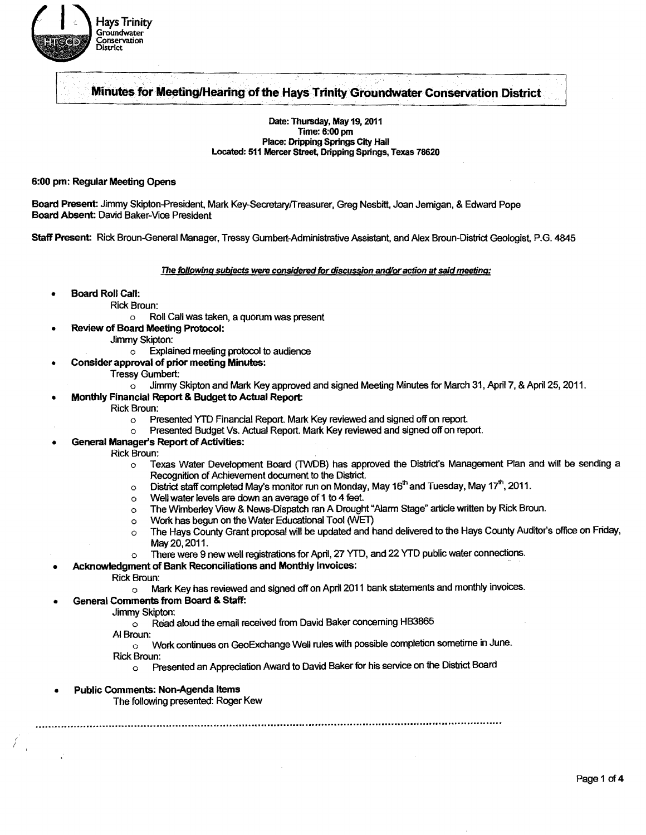

### r-~~--~----~--~~------~. .. .--~------------------- Minutes for Meeting/Hearing of the Hays Trinity Groundwater Conservation District

Date: Thursday, May 19, 2011 Time: 6:00 pm Place: Dripping Springs City Hall Located: 511 Mercer Street, Dripping Springs, Texas 78620

#### 6:00 pm: Regular Meeting Opens

Board Present: Jimmy Skipton-President, Mark Key-Secretary/freasurer. Greg Nesbitt, Joan Jemigan, & Edward Pope Board Absent: David Baker-Vice President

Staff Present: Rick Broun-General Manager, Tressy Gumbert-Administrative Assistant, and Alex Broun-District Geologist, P.G. 4845

The following subjects were considered for discussion and/or action at said meeting:

- Board Roll Call:
	- Rick Broun:
		- o Roll Call was taken, a quorum was present
	- Review of Board Meeting Protocol:
		- Jimmy Skipton:
			- $\circ$  Explained meeting protocol to audience
	- Consider approval of prior meeting Minutes:
		- Tressy Gumbert:
			- $\circ$  Jimmy Skipton and Mark Key approved and signed Meeting Minutes for March 31, April 7, & April 25, 2011.
	- Monthly Financial Report & Budget to Actual Report:
		- Rick Broun:
			- o Presented YTD Financial Report. Mark Key reviewed and signed off on report.
			- o Presented Budget Vs. Actual Report. Mark Key reviewed and signed off on report.
- General Manager's Report of Activities:

Rick Broun:

- o Texas Water Development Board (TWDB) has approved the District's Management Plan and will be sending a Recognition of Achievement document to the District.<br>
o District staff completed May's monitor run on Monday, May 16<sup>th</sup> and Tuesday, May 17<sup>th</sup>, 2011.
- 
- o Well water levels are down an average of 1 to 4 feet.
- $\circ$  The Wimberley View & News-Dispatch ran A Drought "Alarm Stage" article written by Rick Broun.
- o Work has begun on the Water Educational Tool (WET)
- o The Hays County Grant proposal will be updated and hand delivered to the Hays County Auditor's office on Friday, May20,2011.
- o There were 9 new well registrations for April, 27 YTD, and 22 YTD public water connections.
- Acknowledgment of Bank Reconciliations and Monthly Invoices:
	- Rick Broun:
		- o Mark Key has reviewed and signed off on April 2011 bank statements and monthly invoices.
- General Comments from Board & Staff:
	- Jimmy Skipton:
		- $\circ$  Read aloud the email received from David Baker concerning HB3865
	- AI Broun:

(

I

- o Work continues on GeoExchange Well rules with possible completion sometime in June.
- Rick Broun:
	- o Presented an Appreciation Award to David Baker for his service on the District Board

...................................................................................................................................................."'''...... '"~ .............................

Public Comments: Non-Agenda Items

The following presented: Roger Kew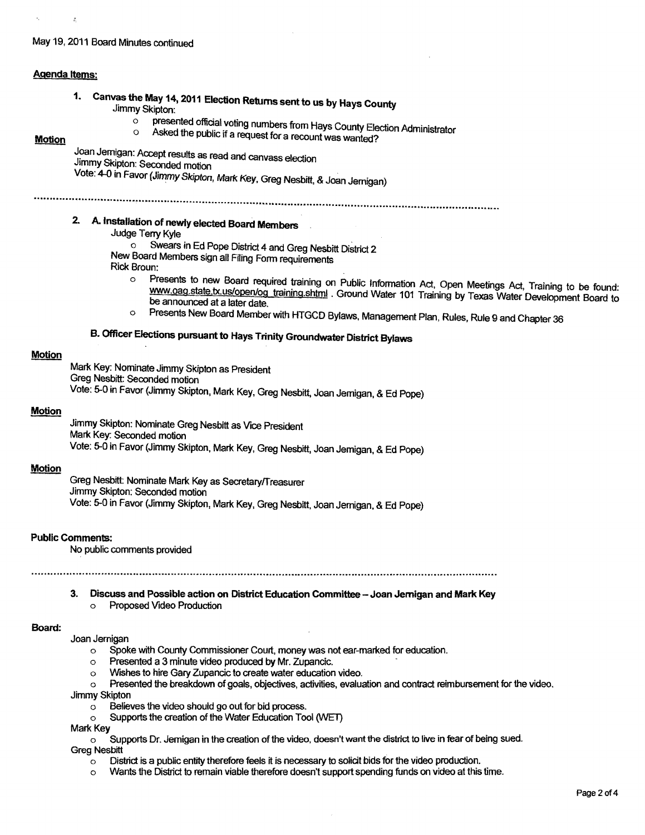#### May 19, 2011 Board Minutes continued

#### Agenda Items:

 $\tilde{z}_i$ 

1. Canvas the May 14, 2011 Election Returns sent to us by Hays County Jimmy Skipton:<br>o prese

o<br> **o presented official voting numbers from Hays County Election Administrator** 

# o Asked the public if a request for a recount was wanted?

### **Motion**

 $\mathcal{L}$ 

Joan Jemigan: Accept results as read and canvass election

Jimmy Skipton: Seconded motion

Vote: 4-0 in Favor (Jimmy Skipton, Mark Key, Greg Nesbitt, &Joan Jernigan)

# .....-.........................................................."................................. " .......................... .. " .............. " .................." ............."......."" ........

## 2. A. Installation of newly elected Board Members

Judge Terry Kyle

o Swears in Ed Pope District 4 and Greg Nesbitt District 2

New Board Members Sign all Filing Form requirements

- Rick Broun:
	- o Presents to new Board required training on Public Information Act, Open Meetings Act, Training to be found: www.oag.state.tx.us/open/og\_training.shtml . Ground Water 101 Training by Texas Water Development Board to be announced at a later date.
	- o Presents New Board Member with HTGCD Bylaws, Management Plan, Rules, Rule 9 and Chapter 36

## B. Officer Elections pursuant to Hays Trinity Groundwater District Bylaws

#### **Motion**

Mark Key: Nominate Jimmy Skipton as President Greg Nesbitt: Seconded motion Vote: 5-0 in Favor (Jimmy Skipton, Mark Key, Greg Nesbitt, Joan Jemigan, &Ed Pope)

#### Motion

Jimmy Skipton: Nominate Greg Nesbitt as Vice President Mark Key: Seconded motion Vote: 5-0 in Favor (Jimmy Skipton, Mark Key, Greg Nesbitt, Joan Jemigan, & Ed Pope)

#### **Motion**

Greg Nesbitt: Nominate Mark Key as Secretary/Treasurer Jimmy Skipton: Seconded motion Vote: 5-0 in Favor (Jimmy Skipton, Mark Key, Greg Nesbitt, Joan Jernigan, & Ed Pope)

#### Public Comments:

No public comments provided

3. Discuss and Possible action on District Education Committee - Joan Jernigan and Mark Key o Proposed Video Production

#### Board:

#### Joan Jernigan

- o Spoke with County Commissioner Court, money was not ear-marked for education.
- $\circ$  Presented a 3 minute video produced by Mr. Zupancic.
- o Wishes to hire Gary Zupancic to create water education video.
- o Presented the breakdown of goals, objectives, activities, evaluation and contract reimbursement for the VIdeo.
- Jimmy Skipton
	- o Believes the video should go out for bid process.
- o Supports the creation of the Water Education Tool (WET)

- Mark Key<br>
Mark Key<br>
Greg Nesbitt<br>
Greg Nesbitt<br>
Greg Nesbitt<br>
Greg Nesbitt<br>
Supports Dr. Jemigan in the creation of the video, doesn't want the district to live in fear of being sued.<br>
Greg Nesbitt<br>
Supports Dr. Jemigan in
	- $\circ$  District is a public entity therefore feels it is necessary to solicit bids for the video production.
	- $\circ$  Wants the District to remain viable therefore doesn't support spending funds on video at this time.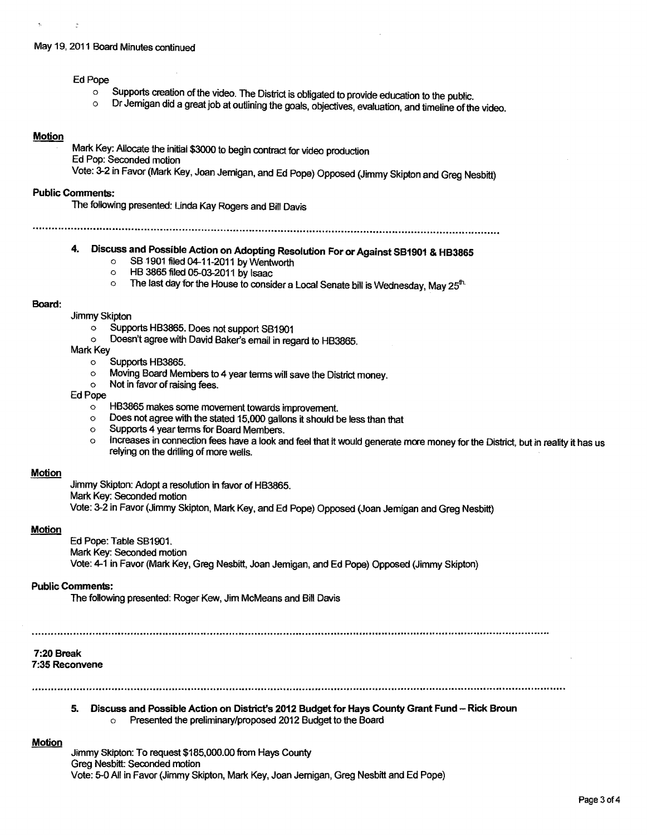#### May 19, 2011 Board Minutes continued

### Ed Pope

 $\ddot{\cdot}$ 

- $\circ$  Supports creation of the video. The District is obligated to provide education to the public.<br> $\circ$  Dr. Jermigan did a great igh at outlining the goals, abientium aughtation and the line
- Dr Jernigan did a great job at outlining the goals, objectives, evaluation, and timeline of the video.

#### **Motion**

Mark Key: Allocate the initial \$3000 to begin contract for video production Ed Pop: Seconded motion Vote: 3-2 in Favor (Mark Key, Joan Jernigan, and Ed Pope) Opposed (Jimmy Skipton and Greg Nesbitt)

#### **Public Comments:**

The following presented: Linda Kay Rogers and Bill Davis

................. ~ ..........................."....................................................... \_.........................................................................

# 4. Discuss and Possible Action on Adopting Resolution For or Against SB1901 & HB3865

- $\circ$  SB 1901 filed 04-11-2011 by Wentworth<br> $\circ$  HB 3865 filed 05-03-2011 by Isaac
- $\circ$  HB 3865 filed 05-03-2011 by Isaac<br> $\circ$  The last day for the House to conside
- The last day for the House to consider a Local Senate bill is Wednesday, May  $25<sup>th</sup>$

#### Board:

- Jimmy Skipton
	- o Supports HB3865. Does not support SB1901<br>○ Doesn't agree with David Baker's email in reg
	- Doesn't agree with David Baker's email in regard to HB3865.
- Mark Key
	- o Supports HB3865.
	- $\circ$  Moving Board Members to 4 year terms will save the District money.<br>
	Not in favor of raising fees
	- Not in favor of raising fees.

#### Ed Pope

- o HB3865 makes some movement towards improvement.
- $\circ$  Does not agree with the stated 15,000 gallons it should be less than that  $\circ$  Supports 4 year terms for Board Members.
- $\circ$  Supports 4 year terms for Board Members.<br> $\circ$  increases in connection fees have a look as
- Increases in connection fees have a look and feel that it would generate more money for the District, but in reality it has us relying on the drilling of more wells.

#### Motion

Jimmy Skipton: Adopt a resolution in favor of HB3865. Mark Key: Seconded motion Vote: 3-2 in Favor (Jimmy Skipton, Mark Key, and Ed Pope) Opposed (Joan Jemigan and Greg Nesbitt)

#### **Motion**

Ed Pope: Table SB1901. Mark Key: Seconded motion Vote: 4-1 in Favor (Mark Key. Greg Nesbitt, Joan Jemigan, and Ed Pope) Opposed (Jimmy Skipton)

#### **Public Comments:**

The following presented: Roger Kew, Jim McMeans and Bill Davis

#### 7:20 Break 7:35 Reconvene

5. Discuss and Possible Action on District's 2012 Budget for Hays County Grant Fund -- Rick Broun o Presented the preliminary/proposed 2012 Budget to the Board

#### Motion

Jimmy Skipton: To request \$185,000.00 from Hays County Greg Nesbitt: Seconded motion Vote: 5-0 All in Favor (Jimmy Skipton, Mark Key, Joan Jernigan, Greg Nesbitt and Ed Pope)